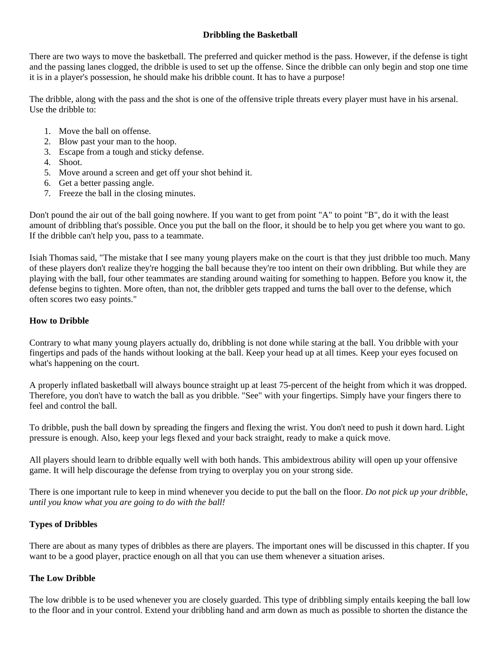## **Dribbling the Basketball**

There are two ways to move the basketball. The preferred and quicker method is the pass. However, if the defense is tight and the passing lanes clogged, the dribble is used to set up the offense. Since the dribble can only begin and stop one time it is in a player's possession, he should make his dribble count. It has to have a purpose!

The dribble, along with the pass and the shot is one of the offensive triple threats every player must have in his arsenal. Use the dribble to:

- 1. Move the ball on offense.
- 2. Blow past your man to the hoop.
- 3. Escape from a tough and sticky defense.
- 4. Shoot.
- 5. Move around a screen and get off your shot behind it.
- 6. Get a better passing angle.
- 7. Freeze the ball in the closing minutes.

Don't pound the air out of the ball going nowhere. If you want to get from point "A" to point "B", do it with the least amount of dribbling that's possible. Once you put the ball on the floor, it should be to help you get where you want to go. If the dribble can't help you, pass to a teammate.

Isiah Thomas said, "The mistake that I see many young players make on the court is that they just dribble too much. Many of these players don't realize they're hogging the ball because they're too intent on their own dribbling. But while they are playing with the ball, four other teammates are standing around waiting for something to happen. Before you know it, the defense begins to tighten. More often, than not, the dribbler gets trapped and turns the ball over to the defense, which often scores two easy points."

## **How to Dribble**

Contrary to what many young players actually do, dribbling is not done while staring at the ball. You dribble with your fingertips and pads of the hands without looking at the ball. Keep your head up at all times. Keep your eyes focused on what's happening on the court.

A properly inflated basketball will always bounce straight up at least 75-percent of the height from which it was dropped. Therefore, you don't have to watch the ball as you dribble. "See" with your fingertips. Simply have your fingers there to feel and control the ball.

To dribble, push the ball down by spreading the fingers and flexing the wrist. You don't need to push it down hard. Light pressure is enough. Also, keep your legs flexed and your back straight, ready to make a quick move.

All players should learn to dribble equally well with both hands. This ambidextrous ability will open up your offensive game. It will help discourage the defense from trying to overplay you on your strong side.

There is one important rule to keep in mind whenever you decide to put the ball on the floor. *Do not pick up your dribble, until you know what you are going to do with the ball!*

# **Types of Dribbles**

There are about as many types of dribbles as there are players. The important ones will be discussed in this chapter. If you want to be a good player, practice enough on all that you can use them whenever a situation arises.

## **The Low Dribble**

The low dribble is to be used whenever you are closely guarded. This type of dribbling simply entails keeping the ball low to the floor and in your control. Extend your dribbling hand and arm down as much as possible to shorten the distance the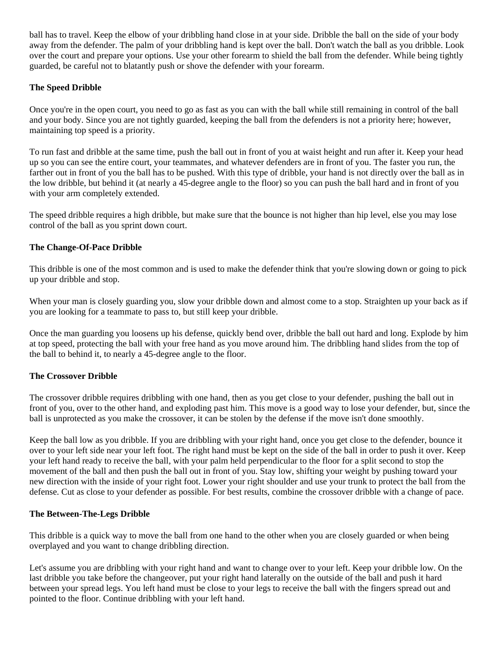ball has to travel. Keep the elbow of your dribbling hand close in at your side. Dribble the ball on the side of your body away from the defender. The palm of your dribbling hand is kept over the ball. Don't watch the ball as you dribble. Look over the court and prepare your options. Use your other forearm to shield the ball from the defender. While being tightly guarded, be careful not to blatantly push or shove the defender with your forearm.

# **The Speed Dribble**

Once you're in the open court, you need to go as fast as you can with the ball while still remaining in control of the ball and your body. Since you are not tightly guarded, keeping the ball from the defenders is not a priority here; however, maintaining top speed is a priority.

To run fast and dribble at the same time, push the ball out in front of you at waist height and run after it. Keep your head up so you can see the entire court, your teammates, and whatever defenders are in front of you. The faster you run, the farther out in front of you the ball has to be pushed. With this type of dribble, your hand is not directly over the ball as in the low dribble, but behind it (at nearly a 45-degree angle to the floor) so you can push the ball hard and in front of you with your arm completely extended.

The speed dribble requires a high dribble, but make sure that the bounce is not higher than hip level, else you may lose control of the ball as you sprint down court.

# **The Change-Of-Pace Dribble**

This dribble is one of the most common and is used to make the defender think that you're slowing down or going to pick up your dribble and stop.

When your man is closely guarding you, slow your dribble down and almost come to a stop. Straighten up your back as if you are looking for a teammate to pass to, but still keep your dribble.

Once the man guarding you loosens up his defense, quickly bend over, dribble the ball out hard and long. Explode by him at top speed, protecting the ball with your free hand as you move around him. The dribbling hand slides from the top of the ball to behind it, to nearly a 45-degree angle to the floor.

# **The Crossover Dribble**

The crossover dribble requires dribbling with one hand, then as you get close to your defender, pushing the ball out in front of you, over to the other hand, and exploding past him. This move is a good way to lose your defender, but, since the ball is unprotected as you make the crossover, it can be stolen by the defense if the move isn't done smoothly.

Keep the ball low as you dribble. If you are dribbling with your right hand, once you get close to the defender, bounce it over to your left side near your left foot. The right hand must be kept on the side of the ball in order to push it over. Keep your left hand ready to receive the ball, with your palm held perpendicular to the floor for a split second to stop the movement of the ball and then push the ball out in front of you. Stay low, shifting your weight by pushing toward your new direction with the inside of your right foot. Lower your right shoulder and use your trunk to protect the ball from the defense. Cut as close to your defender as possible. For best results, combine the crossover dribble with a change of pace.

# **The Between-The-Legs Dribble**

This dribble is a quick way to move the ball from one hand to the other when you are closely guarded or when being overplayed and you want to change dribbling direction.

Let's assume you are dribbling with your right hand and want to change over to your left. Keep your dribble low. On the last dribble you take before the changeover, put your right hand laterally on the outside of the ball and push it hard between your spread legs. You left hand must be close to your legs to receive the ball with the fingers spread out and pointed to the floor. Continue dribbling with your left hand.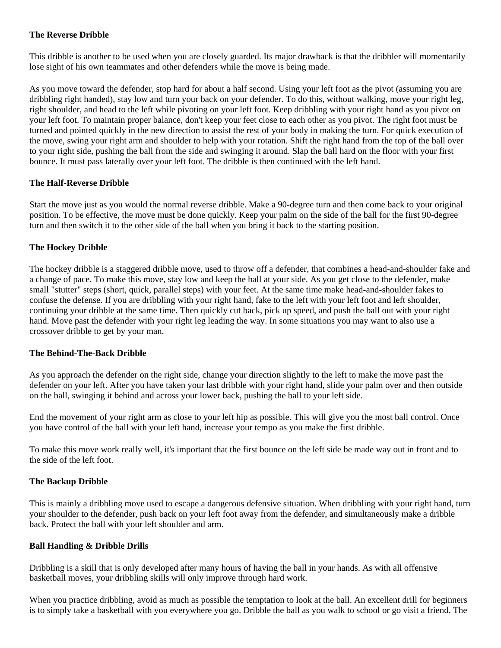## **The Reverse Dribble**

This dribble is another to be used when you are closely guarded. Its major drawback is that the dribbler will momentarily lose sight of his own teammates and other defenders while the move is being made.

As you move toward the defender, stop hard for about a half second. Using your left foot as the pivot (assuming you are dribbling right handed), stay low and turn your back on your defender. To do this, without walking, move your right leg, right shoulder, and head to the left while pivoting on your left foot. Keep dribbling with your right hand as you pivot on your left foot. To maintain proper balance, don't keep your feet close to each other as you pivot. The right foot must be turned and pointed quickly in the new direction to assist the rest of your body in making the turn. For quick execution of the move, swing your right arm and shoulder to help with your rotation. Shift the right hand from the top of the ball over to your right side, pushing the ball from the side and swinging it around. Slap the ball hard on the floor with your first bounce. It must pass laterally over your left foot. The dribble is then continued with the left hand.

## **The Half-Reverse Dribble**

Start the move just as you would the normal reverse dribble. Make a 90-degree turn and then come back to your original position. To be effective, the move must be done quickly. Keep your palm on the side of the ball for the first 90-degree turn and then switch it to the other side of the ball when you bring it back to the starting position.

## **The Hockey Dribble**

The hockey dribble is a staggered dribble move, used to throw off a defender, that combines a head-and-shoulder fake and a change of pace. To make this move, stay low and keep the ball at your side. As you get close to the defender, make small "stutter" steps (short, quick, parallel steps) with your feet. At the same time make head-and-shoulder fakes to confuse the defense. If you are dribbling with your right hand, fake to the left with your left foot and left shoulder, continuing your dribble at the same time. Then quickly cut back, pick up speed, and push the ball out with your right hand. Move past the defender with your right leg leading the way. In some situations you may want to also use a crossover dribble to get by your man.

## **The Behind-The-Back Dribble**

As you approach the defender on the right side, change your direction slightly to the left to make the move past the defender on your left. After you have taken your last dribble with your right hand, slide your palm over and then outside on the ball, swinging it behind and across your lower back, pushing the ball to your left side.

End the movement of your right arm as close to your left hip as possible. This will give you the most ball control. Once you have control of the ball with your left hand, increase your tempo as you make the first dribble.

To make this move work really well, it's important that the first bounce on the left side be made way out in front and to the side of the left foot.

# **The Backup Dribble**

This is mainly a dribbling move used to escape a dangerous defensive situation. When dribbling with your right hand, turn your shoulder to the defender, push back on your left foot away from the defender, and simultaneously make a dribble back. Protect the ball with your left shoulder and arm.

## **Ball Handling & Dribble Drills**

Dribbling is a skill that is only developed after many hours of having the ball in your hands. As with all offensive basketball moves, your dribbling skills will only improve through hard work.

When you practice dribbling, avoid as much as possible the temptation to look at the ball. An excellent drill for beginners is to simply take a basketball with you everywhere you go. Dribble the ball as you walk to school or go visit a friend. The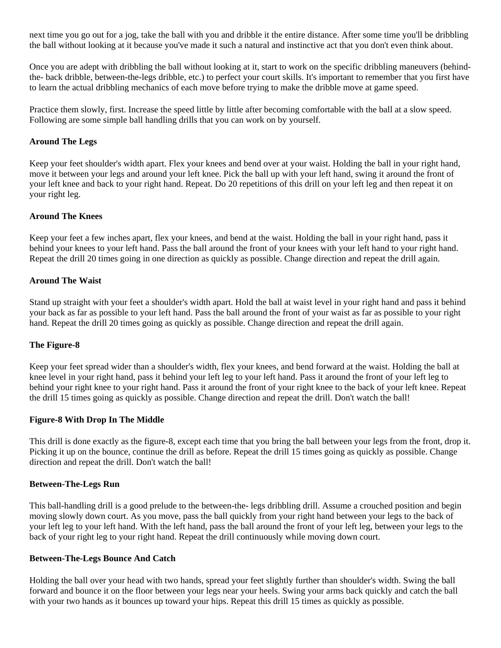next time you go out for a jog, take the ball with you and dribble it the entire distance. After some time you'll be dribbling the ball without looking at it because you've made it such a natural and instinctive act that you don't even think about.

Once you are adept with dribbling the ball without looking at it, start to work on the specific dribbling maneuvers (behindthe- back dribble, between-the-legs dribble, etc.) to perfect your court skills. It's important to remember that you first have to learn the actual dribbling mechanics of each move before trying to make the dribble move at game speed.

Practice them slowly, first. Increase the speed little by little after becoming comfortable with the ball at a slow speed. Following are some simple ball handling drills that you can work on by yourself.

## **Around The Legs**

Keep your feet shoulder's width apart. Flex your knees and bend over at your waist. Holding the ball in your right hand, move it between your legs and around your left knee. Pick the ball up with your left hand, swing it around the front of your left knee and back to your right hand. Repeat. Do 20 repetitions of this drill on your left leg and then repeat it on your right leg.

### **Around The Knees**

Keep your feet a few inches apart, flex your knees, and bend at the waist. Holding the ball in your right hand, pass it behind your knees to your left hand. Pass the ball around the front of your knees with your left hand to your right hand. Repeat the drill 20 times going in one direction as quickly as possible. Change direction and repeat the drill again.

### **Around The Waist**

Stand up straight with your feet a shoulder's width apart. Hold the ball at waist level in your right hand and pass it behind your back as far as possible to your left hand. Pass the ball around the front of your waist as far as possible to your right hand. Repeat the drill 20 times going as quickly as possible. Change direction and repeat the drill again.

## **The Figure-8**

Keep your feet spread wider than a shoulder's width, flex your knees, and bend forward at the waist. Holding the ball at knee level in your right hand, pass it behind your left leg to your left hand. Pass it around the front of your left leg to behind your right knee to your right hand. Pass it around the front of your right knee to the back of your left knee. Repeat the drill 15 times going as quickly as possible. Change direction and repeat the drill. Don't watch the ball!

#### **Figure-8 With Drop In The Middle**

This drill is done exactly as the figure-8, except each time that you bring the ball between your legs from the front, drop it. Picking it up on the bounce, continue the drill as before. Repeat the drill 15 times going as quickly as possible. Change direction and repeat the drill. Don't watch the ball!

#### **Between-The-Legs Run**

This ball-handling drill is a good prelude to the between-the- legs dribbling drill. Assume a crouched position and begin moving slowly down court. As you move, pass the ball quickly from your right hand between your legs to the back of your left leg to your left hand. With the left hand, pass the ball around the front of your left leg, between your legs to the back of your right leg to your right hand. Repeat the drill continuously while moving down court.

#### **Between-The-Legs Bounce And Catch**

Holding the ball over your head with two hands, spread your feet slightly further than shoulder's width. Swing the ball forward and bounce it on the floor between your legs near your heels. Swing your arms back quickly and catch the ball with your two hands as it bounces up toward your hips. Repeat this drill 15 times as quickly as possible.